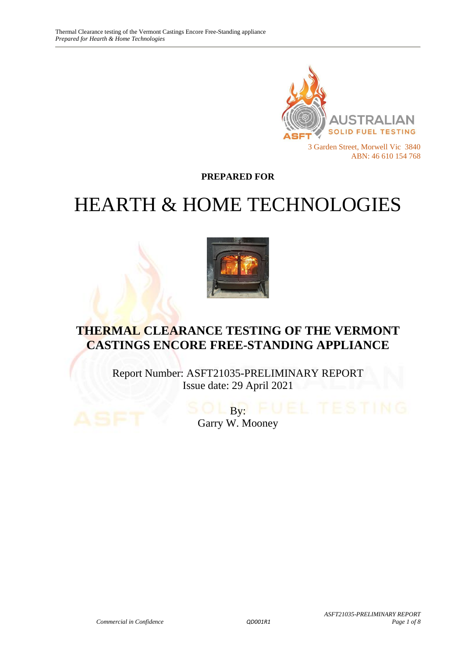

**PREPARED FOR**

# HEARTH & HOME TECHNOLOGIES



# **THERMAL CLEARANCE TESTING OF THE VERMONT CASTINGS ENCORE FREE-STANDING APPLIANCE**

Report Number: ASFT21035-PRELIMINARY REPORT Issue date: 29 April 2021

> $\overline{\mathbf{B}\mathbf{v}}$ : Garry W. Mooney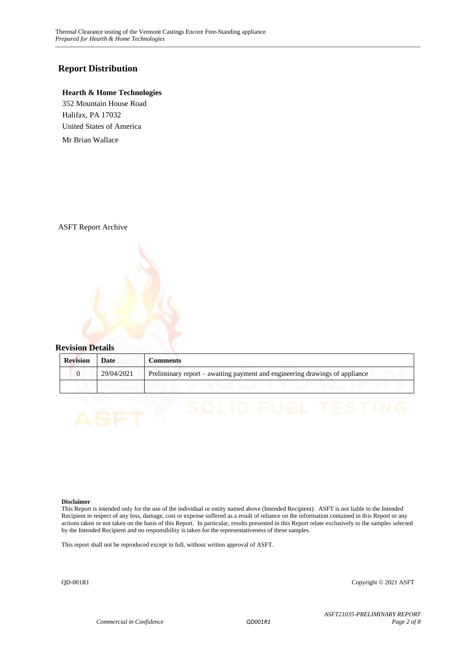#### **Report Distribution**

#### **Hearth & Home Technologies**

352 Mountain House Road Halifax, PA 17032 United States of America

Mr Brian Wallace

ASFT Report Archive



| <b>Revision</b> | Date       | Comments                                                                    |
|-----------------|------------|-----------------------------------------------------------------------------|
|                 | 29/04/2021 | Preliminary report – awaiting payment and engineering drawings of appliance |
|                 |            |                                                                             |

#### **Disclaimer**

This Report is intended only for the use of the individual or entity named above (Intended Recipient). ASFT is not liable to the Intended Recipient in respect of any loss, damage, cost or expense suffered as a result of reliance on the information contained in this Report or any actions taken or not taken on the basis of this Report. In particular, results presented in this Report relate exclusively to the samples selected by the Intended Recipient and no responsibility is taken for the representativeness of these samples.

This report shall not be reproduced except in full, without written approval of ASFT.

QD-001R1 Copyright © 2021 ASFT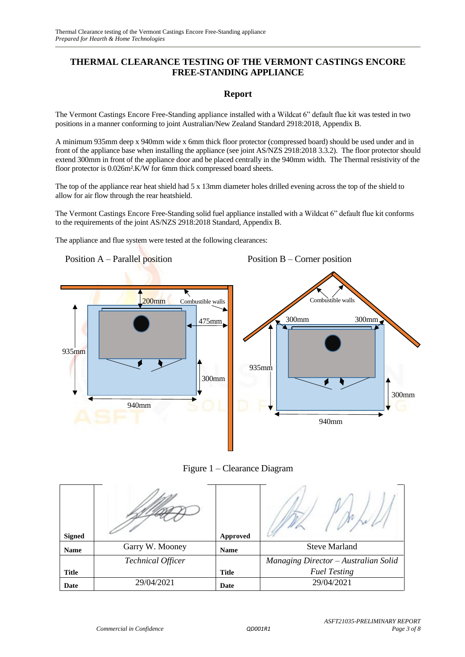#### **THERMAL CLEARANCE TESTING OF THE VERMONT CASTINGS ENCORE FREE-STANDING APPLIANCE**

#### **Report**

The Vermont Castings Encore Free-Standing appliance installed with a Wildcat 6" default flue kit was tested in two positions in a manner conforming to joint Australian/New Zealand Standard 2918:2018, Appendix B.

A minimum 935mm deep x 940mm wide x 6mm thick floor protector (compressed board) should be used under and in front of the appliance base when installing the appliance (see joint AS/NZS 2918:2018 3.3.2). The floor protector should extend 300mm in front of the appliance door and be placed centrally in the 940mm width. The Thermal resistivity of the floor protector is 0.026m².K/W for 6mm thick compressed board sheets.

The top of the appliance rear heat shield had 5 x 13mm diameter holes drilled evening across the top of the shield to allow for air flow through the rear heatshield.

The Vermont Castings Encore Free-Standing solid fuel appliance installed with a Wildcat 6" default flue kit conforms to the requirements of the joint AS/NZS 2918:2018 Standard, Appendix B.

The appliance and flue system were tested at the following clearances:

Position A – Parallel position 200mm Combustible walls 475mm 935mm 300mm 940mm Position B – Corner position Combustible walls 300mm 300mm 935mm 300mm 940mm



| <b>Signed</b> |                          | Approved     |                                      |
|---------------|--------------------------|--------------|--------------------------------------|
| <b>Name</b>   | Garry W. Mooney          | <b>Name</b>  | <b>Steve Marland</b>                 |
|               | <b>Technical Officer</b> |              | Managing Director - Australian Solid |
| <b>Title</b>  |                          | <b>Title</b> | <b>Fuel Testing</b>                  |
| Date          | 29/04/2021               | Date         | 29/04/2021                           |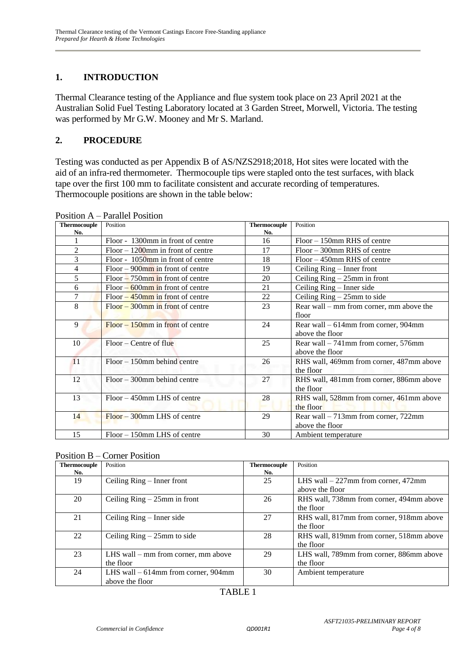### **1. INTRODUCTION**

Thermal Clearance testing of the Appliance and flue system took place on 23 April 2021 at the Australian Solid Fuel Testing Laboratory located at 3 Garden Street, Morwell, Victoria. The testing was performed by Mr G.W. Mooney and Mr S. Marland.

#### **2. PROCEDURE**

Testing was conducted as per Appendix B of AS/NZS2918;2018, Hot sites were located with the aid of an infra-red thermometer. Thermocouple tips were stapled onto the test surfaces, with black tape over the first 100 mm to facilitate consistent and accurate recording of temperatures. Thermocouple positions are shown in the table below:

| <b>Thermocouple</b> | Position                             | <b>Thermocouple</b> | Position                                 |
|---------------------|--------------------------------------|---------------------|------------------------------------------|
| No.                 |                                      | No.                 |                                          |
| 1                   | Floor - 1300mm in front of centre    | 16                  | $Floor - 150$ mm RHS of centre           |
| $\overline{c}$      | $Floor - 1200$ mm in front of centre | 17                  | $Floor - 300$ mm RHS of centre           |
| 3                   | Floor - 1050mm in front of centre    | 18                  | $Floor - 450$ mm RHS of centre           |
| 4                   | $Floor - 900$ mm in front of centre  | 19                  | Ceiling Ring – Inner front               |
| 5                   | $Floor - 750$ mm in front of centre  | 20                  | Ceiling $Ring - 25mm$ in front           |
| 6                   | $Floor - 600$ mm in front of centre  | 21                  | Ceiling Ring – Inner side                |
| 7                   | $Floor - 450$ mm in front of centre  | 22                  | Ceiling $Ring - 25mm$ to side            |
| 8                   | $Floor - 300$ mm in front of centre  | 23                  | Rear wall – mm from corner, mm above the |
|                     |                                      |                     | floor                                    |
| 9                   | $Floor - 150$ mm in front of centre  | 24                  | Rear wall $-614$ mm from corner, 904mm   |
|                     |                                      |                     | above the floor                          |
| 10                  | $Floor - Centre of flu$              | 25                  | Rear wall $-741$ mm from corner, 576mm   |
|                     |                                      |                     | above the floor                          |
| 11                  | $Floor - 150$ mm behind centre       | 26                  | RHS wall, 469mm from corner, 487mm above |
|                     |                                      |                     | the floor                                |
| 12                  | $Floor - 300$ mm behind centre       | 27                  | RHS wall, 481mm from corner, 886mm above |
|                     |                                      |                     | the floor                                |
| 13                  | Floor – 450mm LHS of centre          | 28                  | RHS wall, 528mm from corner, 461mm above |
|                     |                                      |                     | the floor                                |
| 14                  | $Floor - 300$ mm LHS of centre       | 29                  | Rear wall $-713$ mm from corner, 722mm   |
|                     |                                      |                     | above the floor                          |
| 15                  | $Floor - 150$ mm LHS of centre       | 30                  | Ambient temperature                      |

Position A – Parallel Position

| <b>Thermocouple</b> | Position                              | <b>Thermocouple</b> | Position                                 |
|---------------------|---------------------------------------|---------------------|------------------------------------------|
| No.                 |                                       | No.                 |                                          |
| 19                  | Ceiling Ring – Inner front            | 25                  | LHS wall $-227$ mm from corner, 472mm    |
|                     |                                       |                     | above the floor                          |
| 20                  | Ceiling $Ring - 25mm$ in front        | 26                  | RHS wall, 738mm from corner, 494mm above |
|                     |                                       |                     | the floor                                |
| 21                  | Ceiling $Ring - Inner side$           | 27                  | RHS wall, 817mm from corner, 918mm above |
|                     |                                       |                     | the floor                                |
| 22                  | Ceiling $Ring - 25mm$ to side         | 28                  | RHS wall, 819mm from corner, 518mm above |
|                     |                                       |                     | the floor                                |
| 23                  | LHS wall $-$ mm from corner, mm above | 29                  | LHS wall, 789mm from corner, 886mm above |
|                     | the floor                             |                     | the floor                                |
| 24                  | LHS wall $-614$ mm from corner, 904mm | 30                  | Ambient temperature                      |
|                     | above the floor                       |                     |                                          |

#### TABLE 1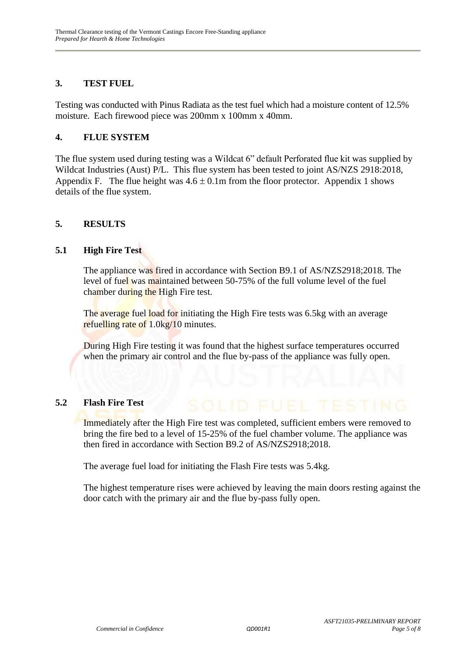#### **3. TEST FUEL**

Testing was conducted with Pinus Radiata as the test fuel which had a moisture content of 12.5% moisture. Each firewood piece was 200mm x 100mm x 40mm.

#### **4. FLUE SYSTEM**

The flue system used during testing was a Wildcat 6" default Perforated flue kit was supplied by Wildcat Industries (Aust) P/L. This flue system has been tested to joint AS/NZS 2918:2018, Appendix F. The flue height was  $4.6 \pm 0.1$ m from the floor protector. Appendix 1 shows details of the flue system.

#### **5. RESULTS**

#### **5.1 High Fire Test**

The appliance was fired in accordance with Section B9.1 of AS/NZS2918;2018. The level of fuel was maintained between 50-75% of the full volume level of the fuel chamber during the High Fire test.

The average fuel load for initiating the High Fire tests was 6.5kg with an average refuelling rate of 1.0kg/10 minutes.

During High Fire testing it was found that the highest surface temperatures occurred when the primary air control and the flue by-pass of the appliance was fully open.

#### **5.2 Flash Fire Test**

Immediately after the High Fire test was completed, sufficient embers were removed to bring the fire bed to a level of 15-25% of the fuel chamber volume. The appliance was then fired in accordance with Section B9.2 of AS/NZS2918;2018.

The average fuel load for initiating the Flash Fire tests was 5.4kg.

The highest temperature rises were achieved by leaving the main doors resting against the door catch with the primary air and the flue by-pass fully open.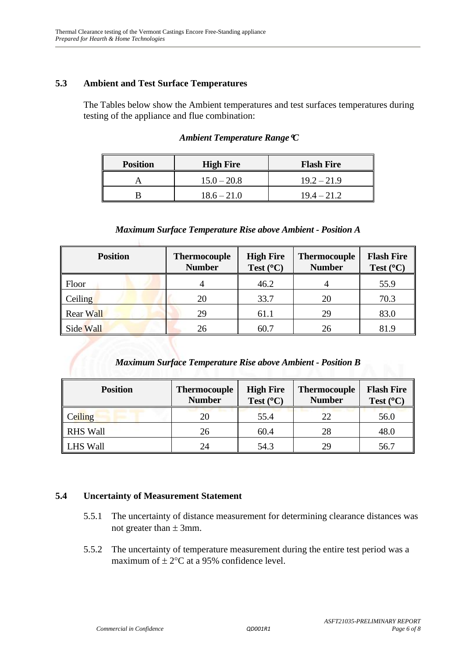#### **5.3 Ambient and Test Surface Temperatures**

The Tables below show the Ambient temperatures and test surfaces temperatures during testing of the appliance and flue combination:

| <b>Position</b> | <b>High Fire</b> | <b>Flash Fire</b> |
|-----------------|------------------|-------------------|
|                 | $15.0 - 20.8$    | $19.2 - 21.9$     |
|                 | $18.6 - 21.0$    | $19.4 - 21.2$     |

#### *Ambient Temperature RangeC*

#### *Maximum Surface Temperature Rise above Ambient - Position A*

| <b>Position</b>  | <b>Thermocouple</b><br><b>Number</b> | <b>High Fire</b><br>Test $(^{\circ}C)$ | <b>Thermocouple</b><br><b>Number</b> | <b>Flash Fire</b><br>Test $(^{\circ}C)$ |
|------------------|--------------------------------------|----------------------------------------|--------------------------------------|-----------------------------------------|
| Floor            |                                      | 46.2                                   |                                      | 55.9                                    |
| Ceiling          | 20                                   | 33.7                                   | 20                                   | 70.3                                    |
| <b>Rear Wall</b> | 29                                   | 61.1                                   | 29                                   | 83.0                                    |
| Side Wall        | 26                                   | 60.7                                   | 26                                   | 81.9                                    |

#### *Maximum Surface Temperature Rise above Ambient - Position B*

| <b>Position</b> | <b>Thermocouple</b><br><b>Number</b> | <b>High Fire</b><br>Test $(^{\circ}C)$ | <b>Thermocouple</b><br><b>Number</b> | <b>Flash Fire</b><br>Test $(^{\circ}C)$ |
|-----------------|--------------------------------------|----------------------------------------|--------------------------------------|-----------------------------------------|
| Ceiling         | 20                                   | 55.4                                   | 22                                   | 56.0                                    |
| <b>RHS Wall</b> | 26                                   | 60.4                                   | 28                                   | 48.0                                    |
| <b>LHS Wall</b> | 24                                   | 54.3                                   | 29                                   | 56.7                                    |

#### **5.4 Uncertainty of Measurement Statement**

- 5.5.1 The uncertainty of distance measurement for determining clearance distances was not greater than  $\pm$  3mm.
- 5.5.2 The uncertainty of temperature measurement during the entire test period was a maximum of  $\pm 2$ °C at a 95% confidence level.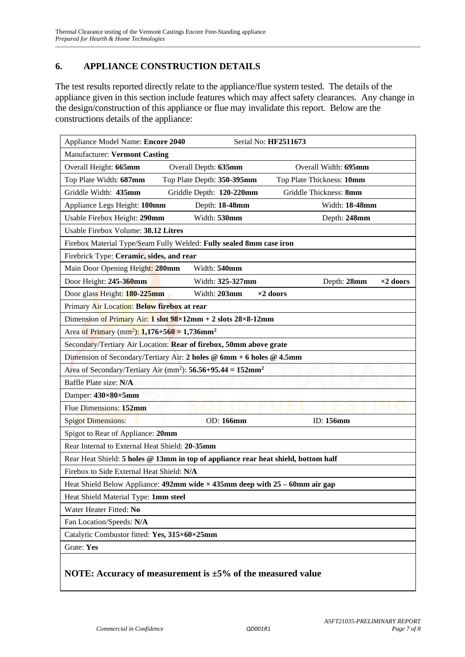#### **6. APPLIANCE CONSTRUCTION DETAILS**

The test results reported directly relate to the appliance/flue system tested. The details of the appliance given in this section include features which may affect safety clearances. Any change in the design/construction of this appliance or flue may invalidate this report. Below are the constructions details of the appliance:

| Appliance Model Name: Encore 2040<br>Serial No: HF2511673                              |                            |                                 |  |  |  |
|----------------------------------------------------------------------------------------|----------------------------|---------------------------------|--|--|--|
| <b>Manufacturer: Vermont Casting</b>                                                   |                            |                                 |  |  |  |
| Overall Height: 665mm                                                                  | Overall Depth: 635mm       | Overall Width: 695mm            |  |  |  |
| Top Plate Width: 687mm                                                                 | Top Plate Depth: 350-395mm | Top Plate Thickness: 10mm       |  |  |  |
| Griddle Width: 435mm                                                                   | Griddle Depth: 120-220mm   | Griddle Thickness: 8mm          |  |  |  |
| Appliance Legs Height: 180mm                                                           | Depth: 18-48mm             | Width: 18-48mm                  |  |  |  |
| Usable Firebox Height: 290mm                                                           | Width: 530mm               | Depth: 248mm                    |  |  |  |
| Usable Firebox Volume: 38.12 Litres                                                    |                            |                                 |  |  |  |
| Firebox Material Type/Seam Fully Welded: Fully sealed 8mm case iron                    |                            |                                 |  |  |  |
| Firebrick Type: Ceramic, sides, and rear                                               |                            |                                 |  |  |  |
| Main Door Opening Height: 280mm                                                        | Width: 540mm               |                                 |  |  |  |
| Door Height: 245-360mm                                                                 | Width: 325-327mm           | Depth: 28mm<br>$\times 2$ doors |  |  |  |
| Door glass Height: 180-225mm                                                           | Width: 203mm               | $\times 2$ doors                |  |  |  |
| Primary Air Location: Below firebox at rear                                            |                            |                                 |  |  |  |
| Dimension of Primary Air: $1$ slot $98 \times 12$ mm + 2 slots $28 \times 8 - 12$ mm   |                            |                                 |  |  |  |
| Area of Primary (mm <sup>2</sup> ): 1,176+560 = 1,736mm <sup>2</sup>                   |                            |                                 |  |  |  |
| Secondary/Tertiary Air Location: Rear of firebox, 50mm above grate                     |                            |                                 |  |  |  |
| Dimension of Secondary/Tertiary Air: 2 holes @ 6mm + 6 holes @ 4.5mm                   |                            |                                 |  |  |  |
| Area of Secondary/Tertiary Air (mm <sup>2</sup> ): $56.56+95.44 = 152$ mm <sup>2</sup> |                            |                                 |  |  |  |
| Baffle Plate size: N/A                                                                 |                            |                                 |  |  |  |
| Damper: 430×80×5mm                                                                     |                            |                                 |  |  |  |
| Flue Dimensions: 152mm                                                                 |                            |                                 |  |  |  |
| <b>Spigot Dimensions:</b>                                                              | OD: 166mm                  | ID: 156mm                       |  |  |  |
| Spigot to Rear of Appliance: 20mm                                                      |                            |                                 |  |  |  |
| Rear Internal to External Heat Shield: 20-35mm                                         |                            |                                 |  |  |  |
| Rear Heat Shield: 5 holes @ 13mm in top of appliance rear heat shield, bottom half     |                            |                                 |  |  |  |
| Firebox to Side External Heat Shield: N/A                                              |                            |                                 |  |  |  |
| Heat Shield Below Appliance: 492mm wide $\times$ 435mm deep with 25 – 60mm air gap     |                            |                                 |  |  |  |
| Heat Shield Material Type: 1mm steel                                                   |                            |                                 |  |  |  |
| Water Heater Fitted: No                                                                |                            |                                 |  |  |  |
| Fan Location/Speeds: N/A                                                               |                            |                                 |  |  |  |
| Catalytic Combustor fitted: Yes, 315×60×25mm                                           |                            |                                 |  |  |  |
| Grate: Yes                                                                             |                            |                                 |  |  |  |
| NOTE: Accuracy of measurement is $\pm 5\%$ of the measured value                       |                            |                                 |  |  |  |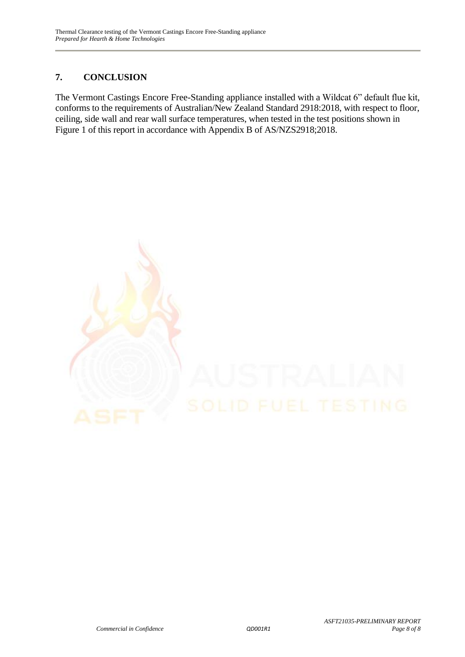## **7. CONCLUSION**

The Vermont Castings Encore Free-Standing appliance installed with a Wildcat 6" default flue kit, conforms to the requirements of Australian/New Zealand Standard 2918:2018, with respect to floor, ceiling, side wall and rear wall surface temperatures, when tested in the test positions shown in Figure 1 of this report in accordance with Appendix B of AS/NZS2918;2018.